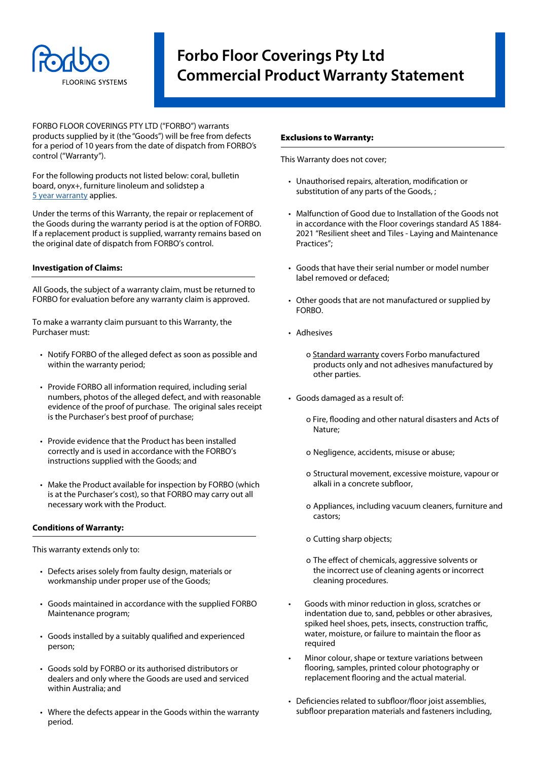

## **Forbo Floor Coverings Pty Ltd Commercial Product Warranty Statement**

FORBO FLOOR COVERINGS PTY LTD ("FORBO") warrants products supplied by it (the "Goods") will be free from defects for a period of 10 years from the date of dispatch from FORBO's control ("Warranty").

For the following products not listed below: coral, bulletin board, onyx+, furniture linoleum and solidstep a [5 year warranty](https://forbo.blob.core.windows.net/forbodocuments/92517/5%20Year%20Commercial%20Warranty%20-%20desktop,%20bulletin%20board,%20solidstep,%20onyx%20&%20coral.pdf) applies.

Under the terms of this Warranty, the repair or replacement of the Goods during the warranty period is at the option of FORBO. If a replacement product is supplied, warranty remains based on the original date of dispatch from FORBO's control.

#### **Investigation of Claims:**

All Goods, the subject of a warranty claim, must be returned to FORBO for evaluation before any warranty claim is approved.

To make a warranty claim pursuant to this Warranty, the Purchaser must:

- Notify FORBO of the alleged defect as soon as possible and within the warranty period;
- Provide FORBO all information required, including serial numbers, photos of the alleged defect, and with reasonable evidence of the proof of purchase. The original sales receipt is the Purchaser's best proof of purchase;
- Provide evidence that the Product has been installed correctly and is used in accordance with the FORBO's instructions supplied with the Goods; and
- Make the Product available for inspection by FORBO (which is at the Purchaser's cost), so that FORBO may carry out all necessary work with the Product.

### **Conditions of Warranty:**

This warranty extends only to:

- Defects arises solely from faulty design, materials or workmanship under proper use of the Goods;
- Goods maintained in accordance with the supplied FORBO Maintenance program;
- Goods installed by a suitably qualified and experienced person;
- Goods sold by FORBO or its authorised distributors or dealers and only where the Goods are used and serviced within Australia; and
- Where the defects appear in the Goods within the warranty period.

#### Exclusions to Warranty:

This Warranty does not cover;

- Unauthorised repairs, alteration, modification or substitution of any parts of the Goods, ;
- Malfunction of Good due to Installation of the Goods not in accordance with the Floor coverings standard AS 1884- 2021 "Resilient sheet and Tiles - Laying and Maintenance Practices";
- Goods that have their serial number or model number label removed or defaced;
- Other goods that are not manufactured or supplied by FORBO.
- Adhesives
	- o Standard warranty covers Forbo manufactured products only and not adhesives manufactured by other parties.
- Goods damaged as a result of:
	- o Fire, flooding and other natural disasters and Acts of Nature;
	- o Negligence, accidents, misuse or abuse;
	- o Structural movement, excessive moisture, vapour or alkali in a concrete subfloor,
	- o Appliances, including vacuum cleaners, furniture and castors;
	- o Cutting sharp objects;
	- o The effect of chemicals, aggressive solvents or the incorrect use of cleaning agents or incorrect cleaning procedures.
- Goods with minor reduction in gloss, scratches or indentation due to, sand, pebbles or other abrasives, spiked heel shoes, pets, insects, construction traffic, water, moisture, or failure to maintain the floor as required
- Minor colour, shape or texture variations between flooring, samples, printed colour photography or replacement flooring and the actual material.
- Deficiencies related to subfloor/floor joist assemblies, subfloor preparation materials and fasteners including,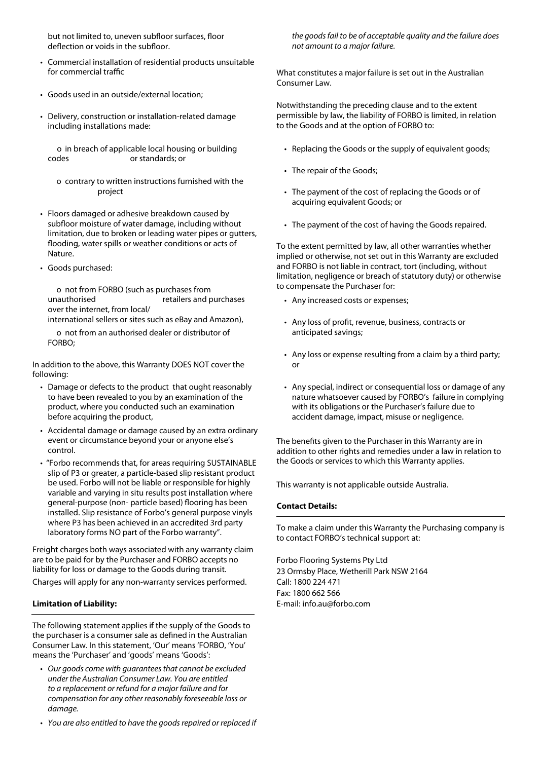but not limited to, uneven subfloor surfaces, floor deflection or voids in the subfloor.

- Commercial installation of residential products unsuitable for commercial traffic
- Goods used in an outside/external location;
- Delivery, construction or installation-related damage including installations made:

 o in breach of applicable local housing or building codes or standards; or

- o contrary to written instructions furnished with the project
- Floors damaged or adhesive breakdown caused by subfloor moisture of water damage, including without limitation, due to broken or leading water pipes or gutters, flooding, water spills or weather conditions or acts of Nature.
- Goods purchased:

 o not from FORBO (such as purchases from unauthorised retailers and purchases over the internet, from local/

international sellers or sites such as eBay and Amazon),

 o not from an authorised dealer or distributor of FORBO;

In addition to the above, this Warranty DOES NOT cover the following:

- Damage or defects to the product that ought reasonably to have been revealed to you by an examination of the product, where you conducted such an examination before acquiring the product,
- Accidental damage or damage caused by an extra ordinary event or circumstance beyond your or anyone else's control.
- "Forbo recommends that, for areas requiring SUSTAINABLE slip of P3 or greater, a particle-based slip resistant product be used. Forbo will not be liable or responsible for highly variable and varying in situ results post installation where general-purpose (non- particle based) flooring has been installed. Slip resistance of Forbo's general purpose vinyls where P3 has been achieved in an accredited 3rd party laboratory forms NO part of the Forbo warranty".

Freight charges both ways associated with any warranty claim are to be paid for by the Purchaser and FORBO accepts no liability for loss or damage to the Goods during transit. Charges will apply for any non-warranty services performed.

### **Limitation of Liability:**

The following statement applies if the supply of the Goods to the purchaser is a consumer sale as defined in the Australian Consumer Law. In this statement, 'Our' means 'FORBO, 'You' means the 'Purchaser' and 'goods' means 'Goods':

- *Our goods come with guarantees that cannot be excluded under the Australian Consumer Law. You are entitled to a replacement or refund for a major failure and for compensation for any other reasonably foreseeable loss or damage.*
- *• You are also entitled to have the goods repaired or replaced if*

*the goods fail to be of acceptable quality and the failure does not amount to a major failure.* 

What constitutes a major failure is set out in the Australian Consumer Law.

Notwithstanding the preceding clause and to the extent permissible by law, the liability of FORBO is limited, in relation to the Goods and at the option of FORBO to:

- Replacing the Goods or the supply of equivalent goods;
- The repair of the Goods;
- The payment of the cost of replacing the Goods or of acquiring equivalent Goods; or
- The payment of the cost of having the Goods repaired.

To the extent permitted by law, all other warranties whether implied or otherwise, not set out in this Warranty are excluded and FORBO is not liable in contract, tort (including, without limitation, negligence or breach of statutory duty) or otherwise to compensate the Purchaser for:

- Any increased costs or expenses;
- Any loss of profit, revenue, business, contracts or anticipated savings;
- Any loss or expense resulting from a claim by a third party; or
- Any special, indirect or consequential loss or damage of any nature whatsoever caused by FORBO's failure in complying with its obligations or the Purchaser's failure due to accident damage, impact, misuse or negligence.

The benefits given to the Purchaser in this Warranty are in addition to other rights and remedies under a law in relation to the Goods or services to which this Warranty applies.

This warranty is not applicable outside Australia.

### **Contact Details:**

To make a claim under this Warranty the Purchasing company is to contact FORBO's technical support at:

Forbo Flooring Systems Pty Ltd 23 Ormsby Place, Wetherill Park NSW 2164 Call: 1800 224 471 Fax: 1800 662 566 E-mail: info.au@forbo.com